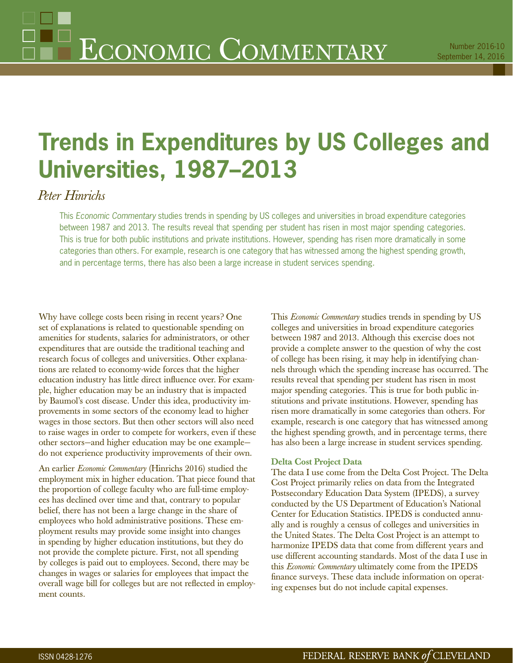# **Trends in Expenditures by US Colleges and Universities, 1987–2013**

## *Peter Hinrichs*

This Economic Commentary studies trends in spending by US colleges and universities in broad expenditure categories between 1987 and 2013. The results reveal that spending per student has risen in most major spending categories. This is true for both public institutions and private institutions. However, spending has risen more dramatically in some categories than others. For example, research is one category that has witnessed among the highest spending growth, and in percentage terms, there has also been a large increase in student services spending.

Why have college costs been rising in recent years? One set of explanations is related to questionable spending on amenities for students, salaries for administrators, or other expenditures that are outside the traditional teaching and research focus of colleges and universities. Other explanations are related to economy-wide forces that the higher education industry has little direct influence over. For example, higher education may be an industry that is impacted by Baumol's cost disease. Under this idea, productivity improvements in some sectors of the economy lead to higher wages in those sectors. But then other sectors will also need to raise wages in order to compete for workers, even if these other sectors—and higher education may be one example do not experience productivity improvements of their own.

An earlier *Economic Commentary* (Hinrichs 2016) studied the employment mix in higher education. That piece found that the proportion of college faculty who are full-time employees has declined over time and that, contrary to popular belief, there has not been a large change in the share of employees who hold administrative positions. These employment results may provide some insight into changes in spending by higher education institutions, but they do not provide the complete picture. First, not all spending by colleges is paid out to employees. Second, there may be changes in wages or salaries for employees that impact the overall wage bill for colleges but are not reflected in employment counts.

This *Economic Commentary* studies trends in spending by US colleges and universities in broad expenditure categories between 1987 and 2013. Although this exercise does not provide a complete answer to the question of why the cost of college has been rising, it may help in identifying channels through which the spending increase has occurred. The results reveal that spending per student has risen in most major spending categories. This is true for both public institutions and private institutions. However, spending has risen more dramatically in some categories than others. For example, research is one category that has witnessed among the highest spending growth, and in percentage terms, there has also been a large increase in student services spending.

#### **Delta Cost Project Data**

The data I use come from the Delta Cost Project. The Delta Cost Project primarily relies on data from the Integrated Postsecondary Education Data System (IPEDS), a survey conducted by the US Department of Education's National Center for Education Statistics. IPEDS is conducted annually and is roughly a census of colleges and universities in the United States. The Delta Cost Project is an attempt to harmonize IPEDS data that come from different years and use different accounting standards. Most of the data I use in this *Economic Commentary* ultimately come from the IPEDS finance surveys. These data include information on operating expenses but do not include capital expenses.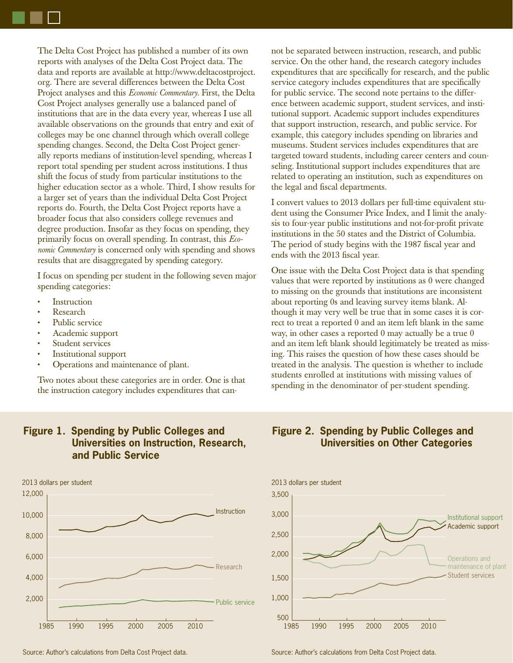The Delta Cost Project has published a number of its own reports with analyses of the Delta Cost Project data. The data and reports are available at http://www.deltacostproject. org. There are several differences between the Delta Cost Project analyses and this *Economic Commentary.* First, the Delta Cost Project analyses generally use a balanced panel of institutions that are in the data every year, whereas I use all available observations on the grounds that entry and exit of colleges may be one channel through which overall college spending changes. Second, the Delta Cost Project generally reports medians of institution-level spending, whereas I report total spending per student across institutions. I thus shift the focus of study from particular institutions to the higher education sector as a whole. Third, I show results for a larger set of years than the individual Delta Cost Project reports do. Fourth, the Delta Cost Project reports have a broader focus that also considers college revenues and degree production. Insofar as they focus on spending, they primarily focus on overall spending. In contrast, this *Economic Commentary* is concerned only with spending and shows results that are disaggregated by spending category.

I focus on spending per student in the following seven major spending categories:

- **Instruction**
- Research
- Public service
- Academic support
- Student services
- Institutional support
- Operations and maintenance of plant.

Two notes about these categories are in order. One is that the instruction category includes expenditures that can-

### **Figure 1. Spending by Public Colleges and Universities on Instruction, Research, and Public Service**



Source: Author's calculations from Delta Cost Project data. Source: Author's calculations from Delta Cost Project data.

not be separated between instruction, research, and public service. On the other hand, the research category includes expenditures that are specifically for research, and the public service category includes expenditures that are specifically for public service. The second note pertains to the difference between academic support, student services, and institutional support. Academic support includes expenditures that support instruction, research, and public service. For example, this category includes spending on libraries and museums. Student services includes expenditures that are targeted toward students, including career centers and counseling. Institutional support includes expenditures that are related to operating an institution, such as expenditures on the legal and fiscal departments.

I convert values to 2013 dollars per full-time equivalent student using the Consumer Price Index, and I limit the analysis to four-year public institutions and not-for-profit private institutions in the 50 states and the District of Columbia. The period of study begins with the 1987 fiscal year and ends with the 2013 fiscal year.

One issue with the Delta Cost Project data is that spending values that were reported by institutions as 0 were changed to missing on the grounds that institutions are inconsistent about reporting 0s and leaving survey items blank. Although it may very well be true that in some cases it is correct to treat a reported 0 and an item left blank in the same way, in other cases a reported 0 may actually be a true 0 and an item left blank should legitimately be treated as missing. This raises the question of how these cases should be treated in the analysis. The question is whether to include students enrolled at institutions with missing values of spending in the denominator of per-student spending.

#### **Figure 2. Spending by Public Colleges and Universities on Other Categories**

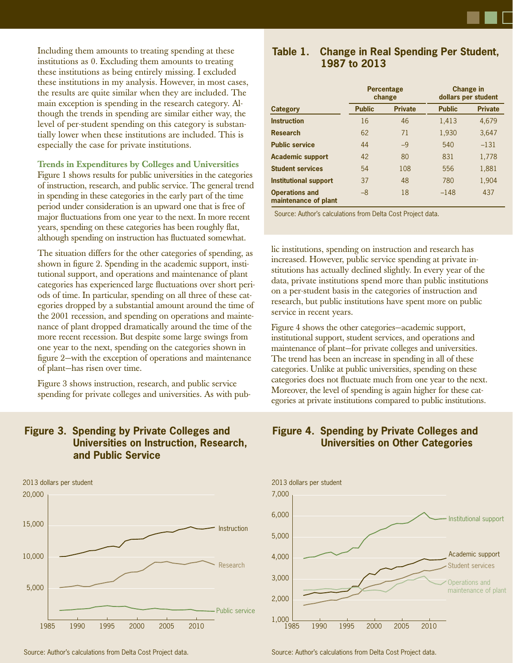**Change in dollars per student**

Including them amounts to treating spending at these institutions as 0. Excluding them amounts to treating these institutions as being entirely missing. I excluded these institutions in my analysis. However, in most cases, the results are quite similar when they are included. The main exception is spending in the research category. Although the trends in spending are similar either way, the level of per-student spending on this category is substantially lower when these institutions are included. This is especially the case for private institutions.

#### **Trends in Expenditures by Colleges and Universities**

Figure 1 shows results for public universities in the categories of instruction, research, and public service. The general trend in spending in these categories in the early part of the time period under consideration is an upward one that is free of major fluctuations from one year to the next. In more recent years, spending on these categories has been roughly flat, although spending on instruction has fluctuated somewhat.

The situation differs for the other categories of spending, as shown in figure 2. Spending in the academic support, institutional support, and operations and maintenance of plant categories has experienced large fluctuations over short periods of time. In particular, spending on all three of these categories dropped by a substantial amount around the time of the 2001 recession, and spending on operations and maintenance of plant dropped dramatically around the time of the more recent recession. But despite some large swings from one year to the next, spending on the categories shown in figure 2-with the exception of operations and maintenance of plant—has risen over time.

Figure 3 shows instruction, research, and public service spending for private colleges and universities. As with pub-

### **Figure 3. Spending by Private Colleges and Universities on Instruction, Research, and Public Service**



# **Instruction** 16 1,413 4,679

| <b>Research</b>                               | 62 | 71   | 1,930  | 3,647  |
|-----------------------------------------------|----|------|--------|--------|
| <b>Public service</b>                         | 44 | $-9$ | 540    | $-131$ |
| <b>Academic support</b>                       | 42 | 80   | 831    | 1,778  |
| <b>Student services</b>                       | 54 | 108  | 556    | 1,881  |
| <b>Institutional support</b>                  | 37 | 48   | 780    | 1,904  |
| <b>Operations and</b><br>maintenance of plant | -8 | 18   | $-148$ | 437    |

**Table 1. Change in Real Spending Per Student,** 

**Percentage change**

**Category Public Private Public Private** 

**1987 to 2013**

Source: Author's calculations from Delta Cost Project data.

lic institutions, spending on instruction and research has increased. However, public service spending at private institutions has actually declined slightly. In every year of the data, private institutions spend more than public institutions on a per-student basis in the categories of instruction and research, but public institutions have spent more on public service in recent years.

Figure 4 shows the other categories—academic support, institutional support, student services, and operations and maintenance of plant—for private colleges and universities. The trend has been an increase in spending in all of these categories. Unlike at public universities, spending on these categories does not fluctuate much from one year to the next. Moreover, the level of spending is again higher for these categories at private institutions compared to public institutions.

## **Figure 4. Spending by Private Colleges and Universities on Other Categories**



Source: Author's calculations from Delta Cost Project data. Source: Author's calculations from Delta Cost Project data.